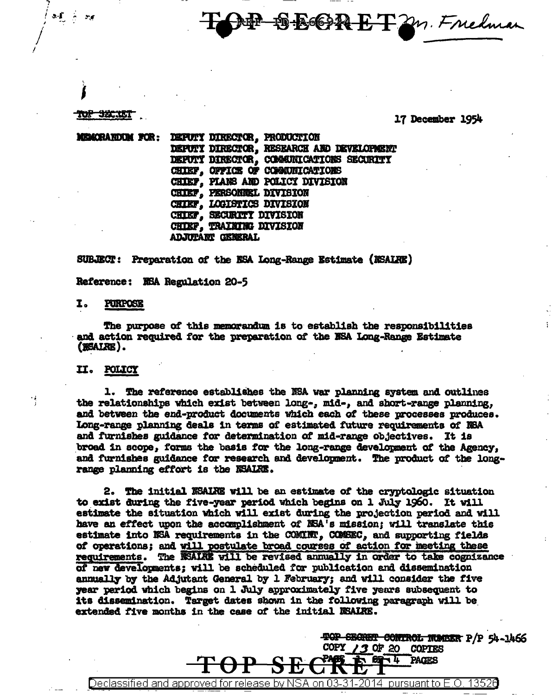**SBORETZM. Fredman** 

### **HYP SKLT**

 $\sum_{i=1}^{n}$ 

- 550

### 17 December 1954

TOP SECRET CONTROL NUMBER P/P 54-1466

**PAGES** 

COPY  $/3$  OF 20 COPTES H 4

н

MEMORANDUM FOR: DEPUTY DIRECTOR, PRODUCTION DEPUTY DIRECTOR, RESEARCH AND DEVELOPMENT DEPUTY DIRECTOR, COMMUNICATIONS SECURITY CHIEF. OFFICE OF COMMUNICATIONS CHIEF, PIANS AND POLICY DIVISION CHIEF, PERSONNEL DIVISION **CHIEF, LOGISTICS DIVISION** CHIEF, SECURITY DIVISION CHIEF. TRAINING DIVISION **ADJUTANT GENERAL** 

### SUBJECT: Preparation of the NSA Long-Range Estimate (NSALRE)

Reference: MSA Regulation 20-5

#### I. PURPOSE

The purpose of this memorandum is to establish the responsibilities and action required for the preparation of the NSA Long-Range Estimate (BSALRE).

### II. POLICY

1. The reference establishes the NSA war planning system and outlines the relationships which exist between long-, mid-, and short-range planning, and between the end-product documents which each of these processes produces. Long-range planning deals in terms of estimated future requirements of NSA and furnishes guidance for determination of mid-range objectives. It is broad in scope, forms the basis for the long-range development of the Agency, and furnishes guidance for research and development. The product of the longrange planning effort is the NSALRE.

2. The initial NSALRE will be an estimate of the cryptologic situation to exist during the five-year period which begins on 1 July 1960. It will estimate the situation which will exist during the projection period and will have an effect upon the accomplishment of NSA's mission; will translate this estimate into NSA requirements in the COMINT, COMSEC, and supporting fields of operations; and will postulate broad courses of action for meeting these requirements. The WSALRY will be revised annually in order to take cognizance of new developments; will be scheduled for publication and dissemination annually by the Adjutant General by 1 February; and will consider the five year period which begins on 1 July approximately five years subsequent to its dissemination. Target dates shown in the following paragraph will be extended five months in the case of the initial MSAIRE.

on  $03-$ 2014 pursuant to  $E.O.$ Declassified and approved for release by NSA 31. 13520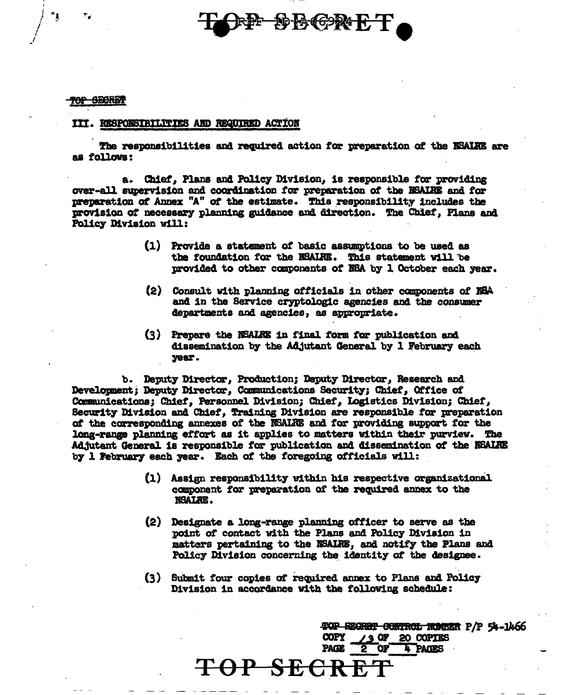### III. RESPONSIBILITIES AND REQUIRED ACTION

The responsibilities and required action for preparation of the NSAIRE are as follows:

a. Chief, Plans and Policy Division, is responsible for providing over-all supervision and coordination for preparation of the NSALRE and for preparation of Annex "A" of the estimate. This responsibility includes the provision of necessary planning guidance and direction. The Chief, Plans and Policy Division will:

> (1) Provide a statement of basic assumptions to be used as the foundation for the NSALRE. This statement will be provided to other components of NBA by 1 October each year.

DBGRET

- (2) Consult with planning officials in other components of NSA and in the Service cryptologic agencies and the consumer departments and agencies, as appropriate.
- (3) Prepare the NSALRE in final form for publication and dissemination by the Adjutant General by 1 February each year.

b. Deputy Director, Production; Deputy Director, Research and Development; Deputy Director, Communications Security; Chief, Office of Communications; Chief, Personnel Division; Chief, Logistics Division; Chief, Security Division and Chief, Training Division are responsible for preparation of the corresponding annexes of the NSALRE and for providing support for the long-range planning effort as it applies to matters within their purview. The Adjutant General is responsible for publication and dissemination of the NSAIRE by 1 February each year. Each of the foregoing officials will:

- (1) Assign responsibility within his respective organizational component for preparation of the required annex to the NSALRE.
- (2) Designate a long-range planning officer to serve as the point of contact with the Plans and Policy Division in matters pertaining to the NSAIRE. and notify the Plans and Policy Division concerning the identity of the designee.
- (3) Submit four copies of required annex to Plans and Policy Division in accordance with the following schedule:

TOP SEGRET CONTROL RUMBER P/P 54-1466 / 3 OF 20 COPIES **COPY** 4 PAGES **PAGE OF** 

### **TOP SECR**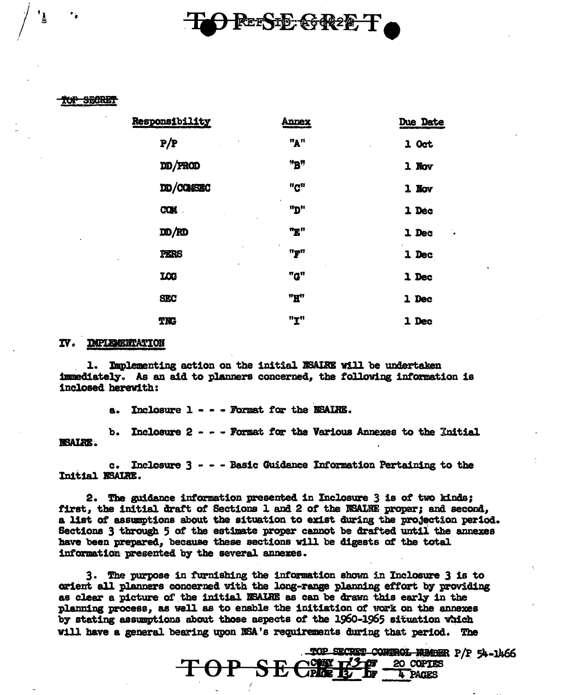## REESTE GREET

### **UP SECRET**

| Responsibility | <b>Annex</b> | <b>Due Date</b> |
|----------------|--------------|-----------------|
| P/P            | "A"          | $1$ Oct         |
| DD/FROD        | "B"          | $1$ Nov         |
| DD/COMSEC      | "C"          | 1 Nov           |
| <b>COM</b>     | "מ"          | 1 Dec           |
| DD/RD          | "E"          | 1 Dec           |
| PERS           | "T"          | 1 Dec           |
| LOG            | "G"          | 1 Dec           |
| <b>SEC</b>     | "H"          | 1 Dec           |
| TK             | "T"          | 1 Dec           |

### IV. IMPLEMENTATION

1. Implementing action on the initial NSAIRE will be undertaken immediately. As an aid to planners concerned, the following information is inclosed herewith:

> Inclosure 1 - - - Formst for the NSAIRE. а.

Inclosure 2 - - - Format for the Various Annexes to the Initial ъ. **NSALRE.** 

c. Inclosure 3 - - - Basic Guidance Information Pertaining to the Initial NSALRE.

2. The guidance information presented in Inclosure 3 is of two kinds: first, the initial draft of Sections 1 and 2 of the NSALRE proper; and second, a list of assumptions about the situation to exist during the projection period. Sections 3 through 5 of the estimate proper cannot be drafted until the annexes have been prepared, because these sections will be digests of the total information presented by the several annexes.

3. The purpose in furnishing the information shown in Inclosure 3 is to orient all planners concerned with the long-range planning effort by providing as clear a picture of the initial NSALRE as can be drawn this early in the planning process, as well as to enable the initiation of work on the annexes by stating assumptions about those aspects of the 1960-1965 situation which will have a general bearing upon NSA's requirements during that period. The

 $S$  $E$ 

 $\Theta$ P $-$ 

SECRET CONTROL NUMBER P/P 54-1466 20 COPTES

4 PACES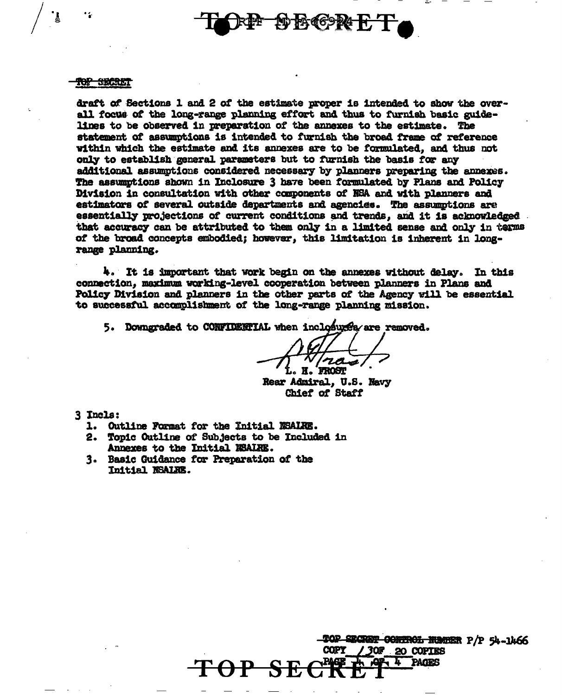### <del>top secte</del>n

draft of Sections 1 and 2 of the estimate proper is intended to show the overall focus of the long-range planning effort and thus to furnish basic guidelines to be observed in preparation of the annexes to the estimate. The statement of assumptions is intended to furnish the broad frame of reference within which the estimate and its annexes are to be formulated, and thus not only to establish general parameters but to furnish the basis for any additional assumptions considered necessary by planners preparing the annexes. The assumptions shown in Inclosure 3 have been formulated by Plans and Policy Division in consultation with other components of NSA and with planners and estimators of several outside departments and agencies. The assumptions are essentially projections of current conditions and trends, and it is acknowledged. that accuracy can be attributed to them only in a limited sense and only in terms of the broad concepts embodied; however, this limitation is inherent in longrange planning.

FAGG924 F

4. It is important that work begin on the annexes without delay. In this connection, maximum working-level cooperation between planners in Plans and Policy Division and planners in the other parts of the Agency will be essential to successful accomplishment of the long-range planning mission.

5. Downgraded to CONFIDENTIAL when inclosures/are removed.

Rear Admiral, U.S. Navy Chief of Staff

3 Incls:

- 1. Outline Format for the Initial NSALRE.
- 2. Topic Outline of Subjects to be Included in Annexes to the Initial NSALRE.
- 3. Basic Guidance for Preparation of the Initial NSALRE.

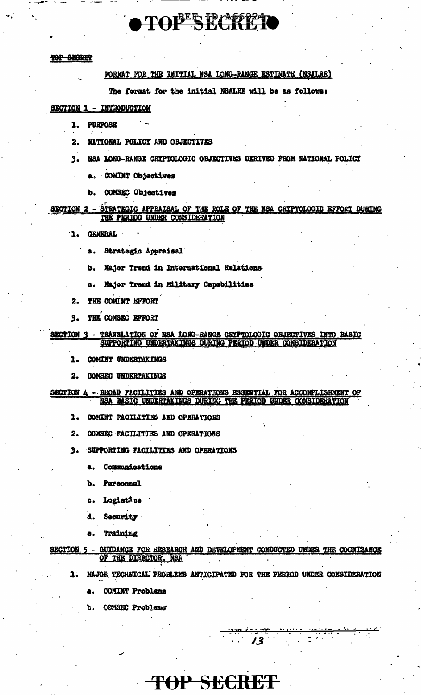# TOPER PAGE 24

### TOP SECRET

### FORMAT FOR THE INITIAL NSA LONG-RANGE ESTIMATE (NSALRE)

The format for the initial NSALRE will be as follows:

### SECTION 1 - INTRODUCTION

- 1. **PURPOSE**
- NATIONAL POLICY AND OBJECTIVES  $2.$
- $3.$ NSA LONG-RANGE CRYPTOLOGIC OBJECTIVES DERIVED FROM NATIONAL POLICY
	- a. COMINT Objectives
	- COMSEC Objectives b.

## SECTION 2 - STRATEGIC APPRAISAL OF THE ROLE OF THE NSA CRIPTOLOGIC EFFORT DURING THE PERIOD UNDER CONSIDERATION

- **GENERAL**  $\mathbf{1}$ .
	- a. Strategic Appraisal
	- Major Trend in International Relations Ъ.
	- Major Trend in Military Capabilities e.
- $\overline{2}$ . THE COMINT EFFORT
- THE COMSEC EFFORT  $3.$

### - TRANSLATION OF NSA LONG-RANGE CRIPTOLOGIC OBJECTIVES INTO BASIC **SECTION 3** SUPPORTING UNDERTAKINGS DURING PERIOD UNDER CONSIDERATION

- COMINT UNDERTAKINGS 1.
- **COMSEC UNDERTAKINGS**  $2.$

### - BROAD FACILITIES AND OPERATIONS ESSIGNTIAL FOR ACCOMPLISHMENT OF SECTION 4 NSA BASIC UNDERTAKINGS DURING THE PERIOD UNDER CONSIDERATION

- 1. COMINT FACILITIES AND OPERATIONS
- COMSEC FACILITIES AND OPERATIONS 2.
- SUPPORTING FACILITIES AND OPERATIONS  $3.$ 
	- **Communications** а.
	- **Personnel** Ъ.
	- Logistics c.
	- Security d.
	- Training  $\bullet$

GUIDANCE FOR RESEARCH AND DEVELOPMENT CONDUCTED UNDER THE COGNIZANCE **SECTION** OF THE DIRECTOR, NSA

TOP SECRET

MAJOR TECHNICAL PROBLEMS ANTICIPATED FOR THE PERIOD UNDER CONSIDERATION

 $13$ 

- COMINT Problems
- COMSEC Problems ъ.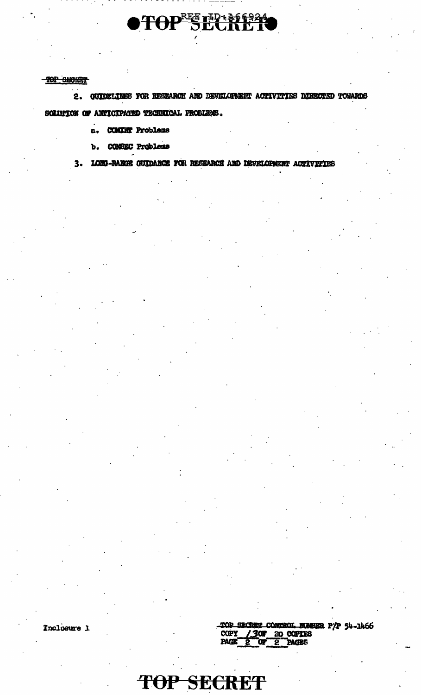### TOP SHORET

2. GUIDELINES FOR RESEARCH AND DEVILOPMENT ACTIVITIES DIRECTED TOWARDS SOLUTION OF ANTICIPATED TECHNICAL PROBLEMS.

**PTOPEE FRAMERA** 

a. COMINT Problems

b. COMBEC Problems

3. LORI-RANCE GUIDANCE FOR RESEARCH AND DEVELOPMENT ACTIVITIES

Inclosure 1

TOP SECRET CONTROL MANIER P/P 54-1466 **COPY** 30 FEB COPIES PAGE ັດາ 70 **PAGES** 

TOP SECRET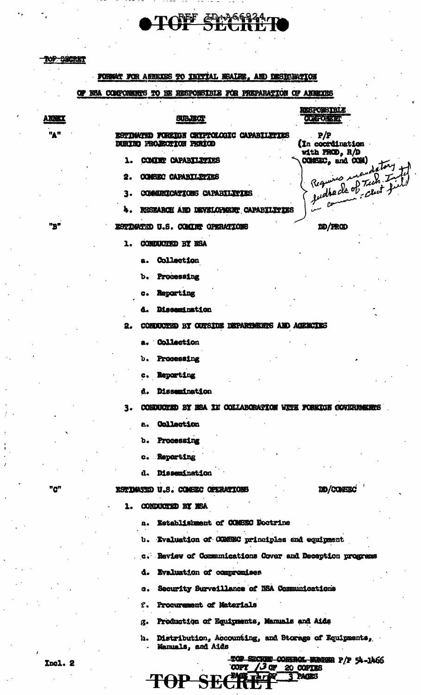**ANNEX** 

"A"

"B"

### FOREMY FOR ARREXES TO INITIAL NEALER. AND DESIGNATION

TOPF ED-266324.

### KSA COMPONERRYS TO BE RESPONSIBLE FOR PREPARATION OF ANNEXES œ

### **SUBJECT GUNFORDER** ESTIMATED FOREIGN CRYPTOLOGIC CAPABILITIES  $P/P$ DURING PROJECTION PERIOD (In coordination with FROD, R/D COMMY CAPABILITIES  $CCESC<sub>e</sub>$  and  $CCH$ ) 1. **CONSEC CAPABILITIES** udheds of Tuch 9. Rıa COMMERICATIONS CAPARTLITIES 3. RESEARCH AND DEVELOPMENT CAPABILITIES ESTIMATED U.S. COMINY OPERATIONS DD/PROD 1. CONDUCTED BY NSA Collection а. Processing ъ. Reporting  $\mathbf{c}$

Dissemination А.

CONDUCTED BY CUTSIDE DEPARTMENTS AND AGENCIES 2.

a. Collection

Processing  $\mathbf{b}$ .

**Reporting**  $c_{\bullet}$ 

d. Dissemination

CONDUCTED BY REA 1E COLLABORATION WITH FOREIGN GOVERNMENTS ٦.

- Collection a.
- Processing ъ.
- Reporting  $\mathbf{e}_{\bullet}$
- Dissemination a.

ESTIMATED U.S. COMEEC OPERATIONS

DD/CONSISC

**RESPONSIBLE** 

datory

#### CONDUCTED BY NSA 1.

Establishment of CONSEC Doctrine  $\mathbf{a}$ 

- Evaluation of COMBEC principles and equipment υ.
- c. Review of Communications Cover and Deception programs
- Evaluation of compromises d.
- Security Surveillance of NSA Communications Q.
- Procurement of Materials f.

TOP SECTE

- Production of Equipments, Manuals and Aids  $\boldsymbol{\alpha}$ .
- Distribution, Accounting, and Storage of Equipments, h. Mamuals, and Aids

**TPACKS** 

"מ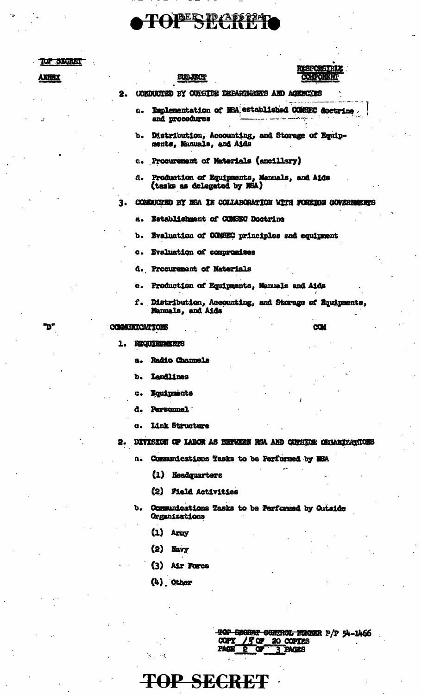# **OTOPESPASS247**

| u suult | <b>RESPONSIBLE</b><br><b>COMPORER</b>                                          |  |
|---------|--------------------------------------------------------------------------------|--|
| ANTEX   | <b>SUBJECT</b>                                                                 |  |
|         | (ONDUCTED BY OUTSIUE DEPARTMENTS AND AGENCIES<br>2.                            |  |
|         | Implementation of NSA established COMSEC doctrine<br>a.<br>and procedures      |  |
|         | b. Distribution, Accounting, and Storage of Equip-<br>ments, Manuals, and Aids |  |
|         | c. Procurement of Materials (ancillary)                                        |  |
|         | d. Production of Equipments, Manuals, and Aids<br>(tasks as delegated by NSA)  |  |
|         | CONDUCTED BY NSA IN COLLABORATION WITH FOREIGN GOVERNMENTS                     |  |
|         | Establishment of COMSEC Doctrine<br>в.                                         |  |
|         | Evaluation of COMMEC principles and equipment<br>ъ.                            |  |
|         | c. Evaluation of compromises                                                   |  |
|         | d. Procurement of Materials                                                    |  |
|         | Production of Equipments, Manuals and Aids<br>e.                               |  |
|         | f. Distribution, Accounting, and Storage of Equipments,<br>Manuals, and Aids   |  |
| "D"     | <b>COM</b><br>COMMISICATIONS                                                   |  |
|         | <b>REQUIREMENTS</b><br>ı.                                                      |  |
|         | <b>Radio Channels</b><br>a.                                                    |  |
|         | <b>Landlines</b><br>b.                                                         |  |
|         | Equipments<br>c.                                                               |  |
|         | Personnel.<br>a.                                                               |  |
|         | Link Structure<br>e.                                                           |  |
|         | DIVISION OF LABOR AS EXTWEEN NSA AND CUTSION ORGANIZATIONS<br>2.               |  |
|         | Communications Tasks to be Performed by MSA<br>а.                              |  |
|         | $\Omega$<br><b>Headquarters</b>                                                |  |
|         | (2)<br><b>Field Activities</b>                                                 |  |
|         | Communications Tasks to be Performed by Outside<br>ъ.<br>Organizations         |  |
|         | $\bf(1)$<br>Ariny                                                              |  |
|         | (2)<br><b>Navy</b>                                                             |  |

(3) Air Force

**TOP SECRET** 

 $(k)$  Other

| TOP BECHER CONTROL MANISR P/P 54-1466      |  |
|--------------------------------------------|--|
| COPY / 3 OF 20 COPTES<br>PAGE 2 OF 3 PAGES |  |
|                                            |  |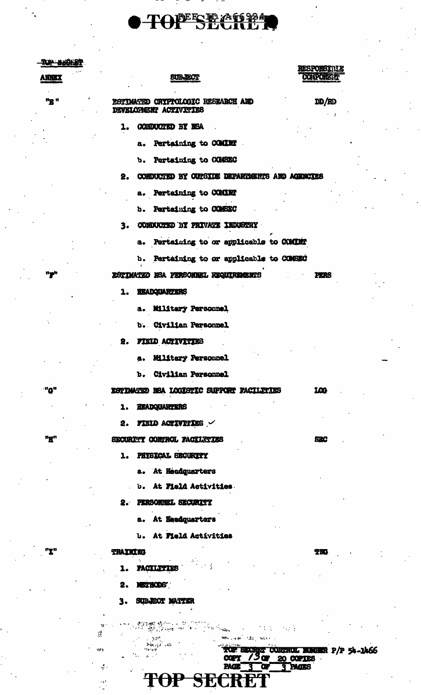## TOPERE AGEA

### TOP BACKET

**ANNEX** 

"g "

"g"

"Q"

"R"

١Ţ۱

### **SUBJECT**

### **RESPONSIBLE COLPORERT**

ESTIMATED CRYPTOLOGIC RESEARCH AND DEVELOPMENT ACTIVITIES

 $DD/RD$ 

**PERS** 

100

880

TM

- 1. CONDUCTED BY NSA
	- Pertaining to COMINT a.
	- Pertaining to COMBEC ъ.

### 2. CONDUCTED BY CONSIDE DEPARDENTS AND AGENCIES

a. Pertaining to COMINT

b. Pertaining to COMSEC

3. CONDUCTED BY PRIVATE INDUSTRY

- a. Pertaining to or applicable to CCMINT
- b. Pertaining to or applicable to COMSEC

ESTIMATED KSA PERSONNEL REQUIREMENTS

**HEADQUARTERS** 1.

a. Military Personnel

b. Civilian Personnel

2. FIELD ACTIVITIES

**Military Personnel** a.

Civilian Personnel  $\mathbf{b}$ .

ESTIMATED HEA LOGISTIC SUPPORT FACILITIES

**HEADQUARTERS** 1.

FIELD ACTIVITIES 2.

SECURITY CONTROL PACILITIES

1. PHYSICAL SECURITY

a. At Headquarters

**b.** At Field Activities.

2. PERSONNEL SECURITY

At Headquarters а.

**b.** At **Field** Activities

### **TRAXKIKG**

 $\mathcal{L}$ 

is k

÷

 $\mathcal{A}$  $\sim$   $\sim$ 

**PACTLETIES**  $\mathbf{1}$ .

**METHODS'** 2.

 $3 -$ SUBJECT MATTER

 $\sim 10^4$ 

 $\frac{\mathcal{B}(\mu_0,\mu_0)}{\mathcal{B}(\mu_0)}=0.$ 

**CARD AND CONTRACTOR** 

**TOP SECRET** 

TOP BECRET CONTROL MUNER P/P 54-1466 PAGE<sup>®</sup> 3 PAGES  $\overline{3}$  or

n gora

 $\sim 2\, \rm s^{-1}$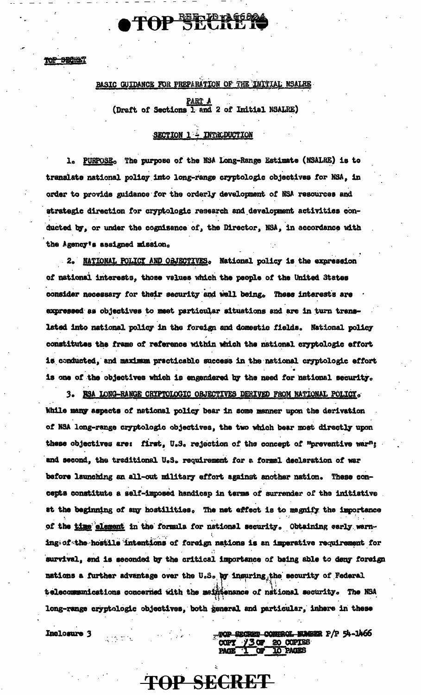TOP SECIENT

### BASIC GUIDANCE FOR PREPARATION OF THE INITIAL NSALRE

TOP SEPPRES

PART A

(Draft of Sections 1 and 2 of Initial NSALRE)

### SECTION 1 - INTRODUCTION

PURPOSE. The purpose of the NSA Long-Range Estimate (NSALRE) is to ı. translate national policy into long-range cryptologic objectives for NSA, in order to provide guidance for the orderly development of NSA resources and strategic direction for cryptologic research and development activities conducted by, or under the cognizance of, the Director, NSA, in accordance with the Agency's assigned mission.

2. NATIONAL POLICY AND OBJECTIVES. National policy is the expression of national interests, those values which the people of the United States consider necessary for their security and well being. These interests are expressed as objectives to meet particular situations and are in turn translated into national policy in the foreign and domestic fields. National policy constitutes the frame of reference within which the national cryptologic effort is conducted, and maximum practicable success in the national cryptologic effort is one of the objectives which is engendered by the need for national security.

3. RSA LONG-RANGE CRYPTOLOGIC OBJECTIVES DERIVED FROM NATIONAL POLICY. While many aspects of national policy bear in some manner upon the derivation of NSA long-range cryptologic objectives, the two which bear most directly upon these objectives are: first, U.S. rejection of the concept of "preventive war"; and second, the traditional U.S. requirement for a formal declaration of war before launching an all-out military effort against another nation. These concepts constitute a self-imposed handicap in terms of surrender of the initiative at the beginning of any hostilities. The net effect is to megnify the importance of the time element in the formula for national security. Obtaining early warning of the hostile intentions of foreign nations is an imperative requirement for survival, and is seconded by the critical importance of being able to deny foreign nations a further advantage over the U.S. by insuring, the security of Federal telecommunications concerned with the meintenance of national security. The NSA long-range cryptologic objectives, both general and particular, inhere in these

**TOP SECRET** 

Inclosure 3

 $\mathcal{L}^{\text{max}}$  and  $\mathcal{L}^{\text{max}}$ 

TOP SECRET CONTROL NUMBER P/P 54-1466  $COPY$  /3 OF 20 COPIES **TO PAGES**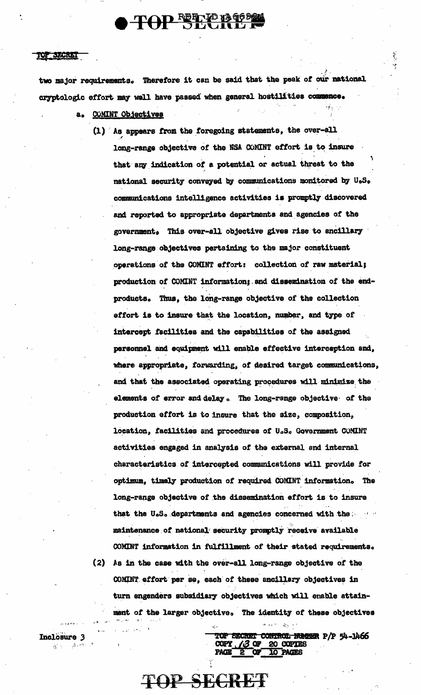# TOP REFLIE TA 12 96.82

### SECRET

Inclosure 3

Website Banks

two major requirements. Therefore it can be said that the peak of our national cryptologic effort may well have passed when general hostilities commence.

- a. COMINT Objectives
	- (1) As appears from the foregoing statements, the over-all long-range objective of the NSA COMINT effort is to insure that any indication of a potential or actual threat to the national security conveyed by communications monitored by U.S. communications intelligence activities is promptly discovered and reported to appropriate departments and agencies of the government. This over-all objective gives rise to ancillary long-range objectives pertaining to the major constituent operations of the COMINT effort: collection of raw material; production of COMINT information; and dissemination of the endproducts. Thus, the long-range objective of the collection effort is to insure that the location, number, and type of intercept facilities and the capabilities of the assigned personnel and equipment will enable effective interception and, where appropriate, forwarding, of desired target communications, and that the associated operating procedures will minimize the elements of error and delay . The long-range objective of the production effort is to insure that the size, composition, location, facilities and procedures of U.S. Government COMINT activities engaged in analysis of the external end internal characteristics of intercepted communications will provide for optimum, timely production of required COMINT information. The long-range objective of the dissemination effort is to insure that the U.S. departments and agencies concerned with the service maintenance of national security promptly receive available COMINT information in fulfillment of their stated requirements. (2) As in the case with the over-all long-range objective of the COMINT effort per se, each of these ancillary objectives in turn engenders subsidiary objectives which will enable attainment of the larger objective. The identity of these objectives

TOP SECRET CONTROL NORSER P/P 54-1466 COPY (3 OF 20 COPTES<br>PAGE 2 OF 10 PAGES

 $\Theta$  and  $\Theta=\frac{1}{K} \sqrt{10^{-3}}$ 

**TOP SECRET**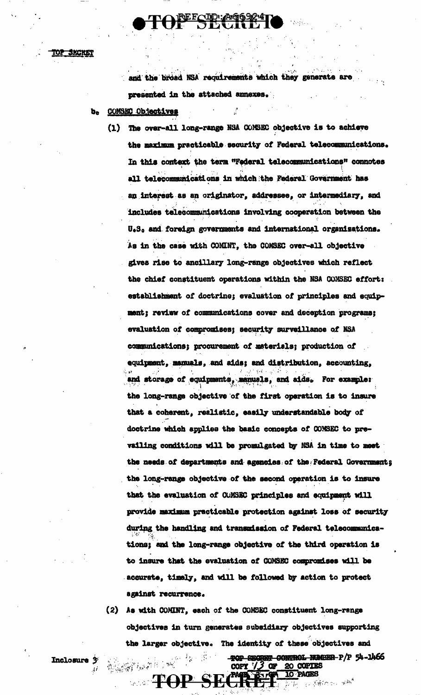<u>top Secret</u>

and the broad NSA requirements which they generate are presented in the attached annexes.

- COMSEC Objectives ъ.
	- The over-all long-range NSA CONSEC objective is to achieve  $(1)$ the maximum practicable security of Federal telecommunications. In this context the term "Federal telecommunications" connotes all telecommunications in which the Federal Government has an interest as an originator, addressee, or intermediary, and includes telecommunications involving cooperation between the U.S. and foreign governments and international organizations. As in the case with COMINT, the COMSEC over-all objective gives rise to ancillary long-range objectives which reflect the chief constituent operations within the NSA CONSEC effort: establishment of doctrine; evaluation of principles and equipment; review of communications cover and deception programs; evaluation of compromises; security surveillance of NSA communications; procurement of materials; production of equipment, manuals, and aids; and distribution, accounting, and storage of equipments, manuals, and aids. For example: the long-range objective of the first operation is to insure that a coherent, realistic, easily understandable body of doctrine which applies the basic concepts of CONSEC to prevailing conditions will be promulgated by NSA in time to meet the needs of departments and agencies of the Federal Governments the long-range objective of the second operation is to insure that the evaluation of CUMSEC principles and equipment will provide maximum practicable protection against loss of security during the handling and transmission of Federal telecommunications; and the long-range objective of the third operation is to insure that the evaluation of COMSEC compromises will be accurate, timely, and will be followed by action to protect against recurrence.
	- (2) As with COMINT, each of the COMSEC constituent long-range objectives in turn generates subsidiary objectives supporting the larger objective. The identity of these objectives and

 $\mathbb{R}^{n \times n}$ 

**TOP SECRES** 

高高速高速度

TOP SECRET CONTROL NUMBER-P/P 54-1466

 $\mathcal{H}(\mathcal{P},\mathcal{I})=\mathcal{S}\mathcal{P}^{\mathcal{I}}$ 

COPY  $73$  or 20 COPIES

Inclosure 3  $\hat{A} \hat{I}$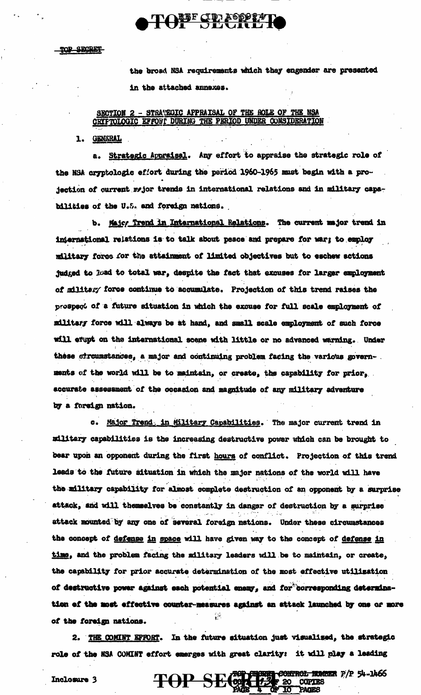the broad NSA requirements which they engender are presented in the attached annexes.

### SECTION 2 - STRATEGIC APPRAISAL OF THE ROLE OF THE NSA CRYFTOLOGIC EFFOHT DURING THE PERIOD UNDER CONSIDERATION

TONE CERROSSETTO

1. GENGRAL

a. Strategic Appraisal. Any effort to appraise the strategic role of the NSA cryptologic effort during the period 1960-1965 must begin with a projection of current myjor trends in international relations and in military capabilities of the U.S. and foreign nations.

b. Majoy Trend in International Relations. The current major trend in international relations is to talk about peace and prepare for war; to employ military force for the attainment of limited objectives but to eschew actions judged to load to total war, despite the fact that excuses for larger employment of military force continue to accumulate. Projection of this trend raises the prospect of a future situation in which the excuse for full scale employment of military force will always be at hand, and small scale employment of such force will evupt on the international scene with little or no advanced warning. Under these circumstances, a major and continuing problem facing the various governments of the world will be to maintain, or create, the capability for prior, accurate assessment of the occasion and magnitude of any military adventure by a foreign nation.

c. Major Trend. in Military Capabilities. The major current trend in military capabilities is the increasing destructive power which can be brought to bear upon an opponent during the first hours of conflict. Projection of this trend leads to the future situation in which the major nations of the world will have the military capability for almost complete destruction of an opponent by a surprise attack, and will themselves be constantly in danger of destruction by a surprise attack mounted by any one of several foreign nations. Under these circumstances the concept of defense in space will have given way to the concept of defense in time, and the problem facing the military leaders will be to maintain, or create, the capability for prior accurate determination of the most effective utilization of destructive power against each potential enemy, and for corresponding determination of the most effective counter-measures against an attack launched by one or more of the foreign nations.

2. THE COMINT EFFORT. In the future situation just visualized, the strategic role of the NSA COMINT effort emerges with great clarity: it will play a leading

TOP SECOND CONTROL NAMES P/P 54-1466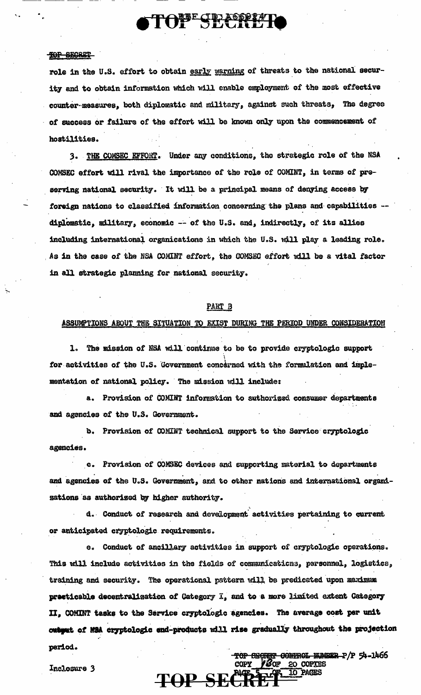role in the U.S. effort to obtain early warning of threats to the national security and to obtain information which will enable employment of the most effective counter-measures, both diplomatic and military, against such threats, The degree of success or failure of the effort will be known only upon the commencement of hostilities.

TOPE SECRETIC

3. THE COMSEC EFFORT. Under any conditions, the strategic role of the NSA COMSEC effort will rival the importance of the role of COMINT, in terms of preserving national security. It will be a principal means of denying access by foreign nations to classified information concerning the plans and capabilities -diplomatic, military, economic -- of the U.S. and, indirectly, of its allies including international organications in which the U.S. will play a leading role. As in the case of the NSA COMINT effort, the COMSEC effort will be a vital factor in all strategic planning for national security.

### PART B

### ASSUMPTIONS ABOUT THE SITUATION TO EXIST DURING THE PERIOD UNDER CONSIDERATION

1. The mission of NSA will continue to be to provide cryptologic support for activities of the U.S. Government concerned with the formulation and implementation of national policy. The mission will include:

a. Provision of COMINT information to authorized consumer departments and agencies of the U.S. Government.

b. Provision of COMINT technical support to the Service cryptologic agencies.

c. Provision of COMSEC devices and supporting material to departments and agencies of the U.S. Government, and to other nations and international organizations as authorized by higher authority.

d. Conduct of research and development activities pertaining to current or anticipated cryptologic requirements.

e. Conduct of ancillary activities in support of cryptologic operations. This will include activities in the fields of communications, personnel, logistics, training and security. The operational pattern will be predicated upon maximum precticable decentralization of Gategory I, and to a more limited extent Gategory II, COMINT tasks to the Service cryptologic agencies. The average cost per unit outgut of MSA cryptologic end-products will rise gradually throughout the projection period. TOP SECTOR CONTROL NUMBER P/P 54-1466

TOP SECRE

**10 PAGES**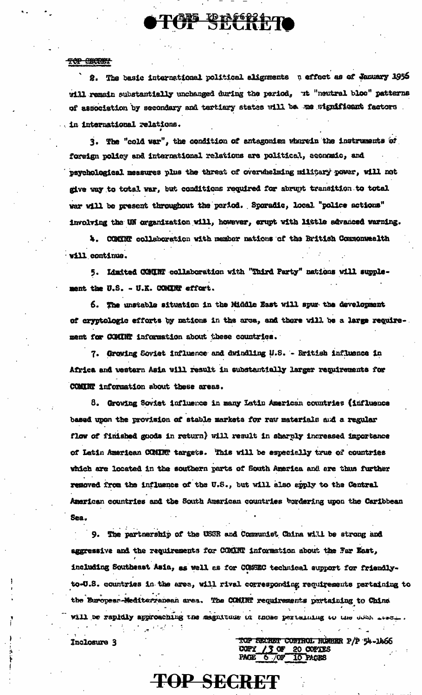### TOP ENCRETT

2. The basic international political alignments n effect as of January 1956 will remain substantially unchanged during the period, ut "neutral bloc" patterns of association by secondary and tertiary states will be we significant factors. in international relations.

**ITCH ENGOLDTI** 

3. The "cold war", the condition of antagonism wherein the instruments of foreign policy and international relations are political, aconomic, and psychological measures plus the threat of overwhelming military power, will not give way to total war, but conditions required for abrupt transition to total war will be present throughout the period. Sporadic, local "police actions" involving the UN organization will, however, erupt with little advanced warning.

4. COMINT collaboration with member nations of the British Commonwealth will continue.

5. Limited COUNT collaboration with "Third Party" nations will supplement the U.S. - U.K. CONINT effort.

6. The unstable situation in the Middle East will spur the development of cryptologic efforts by nations in the area, and there will be a large requirement for COMINT information about these countries.

7. Growing Soviet influence and dwindling U.S. - Eritish influence in Africa and western Asia will result in substantially larger requirements for COMINT information about these areas.

8. Growing Soviet influence in many Latin American countries (influence based upon the provision of stable markets for raw materials and a regular flow of finished goods in return) will result in sharply increased importance of Latin American COMING targets. This will be especially true of countries which are located in the southern parts of South America and are thus further removed from the influence of the U.S., but will also apply to the Central American countries and the South American countries bordering upon the Caribbean Sea.

9. The partnership of the USSR and Communist China will be strong and aggressive and the requirements for COMINT information about the Far East, including Southeast Asia, as well as for COSSEC technical support for friendlyto-U.S. countries in the area, will rivel corresponding requirements partaining to the Buropean-Mediterranean area. The COMINT requirements portaining to China will be rapidly approaching the magnitude in those perturning to the door sess.

**TOP SECRET** 

Inclosure 3

TOP SECRET CONTROL RUMBER P/P 54-1466 COPY / 3 OF 20 COPYES<br>PAGE 6 / OF 10 PAGES PACE<sup>6</sup>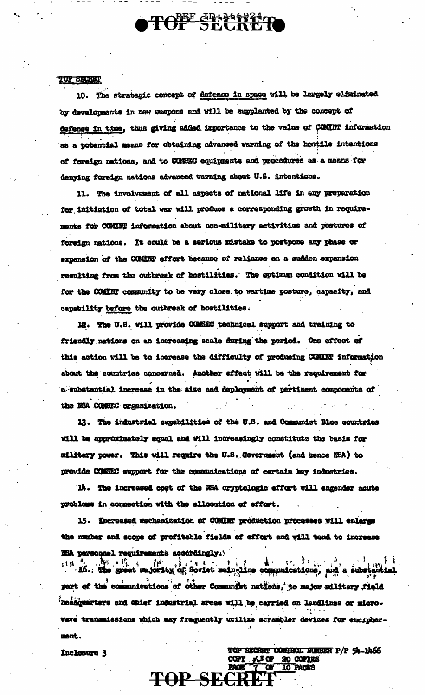# TOFF SHASS24 T

### TOP SECRET

10. The strategic concept of defense in space will be largely eliminated by developments in new weapons and will be supplanted by the concept of defense in time, thus giving added importance to the value of COMINT information as a potential means for obtaining advanced warning of the hostile intentions of foreign nationa, and to CONSEC equipments and procedures as a means for denving foreign nations advanced warning about U.S. intentions.

11. The involvement of all aspects of national life in any preparation for initiation of total war will produce a corresponding growth in requirements for COMINT information about non-military activities and postures of foreign nations. It could be a serious mistake to postpone any phase or expansion of the COMMT effort because of reliance on a sudden expansion resulting from the outbreak of hostilities. The optimum condition will be for the COMINT community to be very close to wartime posture, capacity, and capability before the outbreak of hostilities.

12. The U.S. will provide COMSEC technical support and training to friendly nations on an increasing scale during the period. One effect of this action will be to increase the difficulty of producing COMINT information about the countries concerned. Another effect will be the requirement for a substantial increase in the size and deployment of pertinent components of the NSA COMBEC organization.

13. The industrial capabilities of the U.S. and Communist Bloc countries will be approximately equal and will increasingly constitute the basis for military power. This will require the U.S. Government (and hence NSA) to provide COMSEC support for the communications of certain key industries.

14. The increased cost of the NSA cryptologic effort will engender acute problems in connection with the allocation of effort.

15. Increased mechanization of COMUNT production processes will enlarge the number and scope of profitable fields of effort and will tend to increase W5A personnel requirements accordingly.

 $x_1$  is  $x_1$  in the great majority of Soviet main-line communications, de la familia de la familia de la familia de la familia de la familia de la familia de la familia de la familia de la familia de la familia de la familia de la familia de la familia de la familia de la familia de la famili part of the communications of other Communist nations, to major military field **headquarters and chief industrial areas vill be carried on landlinss or micro**wave transmissions which may frequently utilize acreabler devices for encipherment.

**TOP SECRET** 

TOP SECRET CONTROL NUMBER P/P 54-1466

**10 PAGES** 

1 13 OF 20 COPTES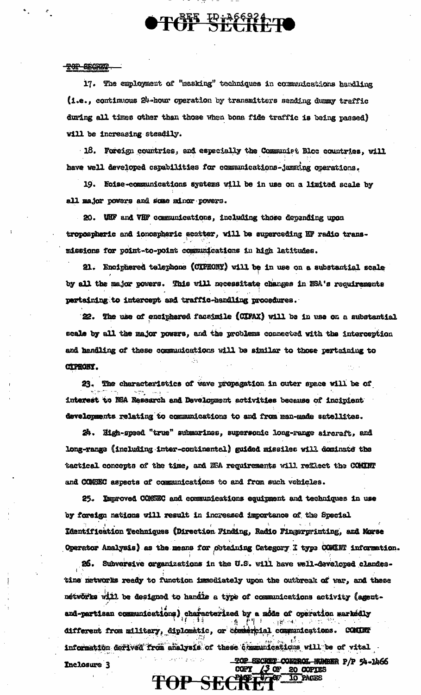17. The employment of "masking" techniques in communications hardling (i.e., continuous 24-hour operation by transmitters sending dummy traffic during all times other than those when bona fide traffic is being passed) will be increasing steadily.

TOF E1366924

18. Foreign countries, and especially the Communist Bloc countries, will have well developed capabilities for communications-jamming operations.

19. Noise-communications systems will be in use on a limited scale by all major powers and some minor powers.

20. WHF and VHF communications, including those depending upon tropospheric and ionospheric scatter, will be superceding HF radio transmissions for point-to-point communications in high latitudes.

21. Enciphered telephone (CIPHONY) will be in use on a substantial scale by all the major powers. This will necessitate changes in NSA's requirements pertaining to intercept and traffic-handling procedures.

22. The use of enciphered faceimile (CIFAX) will be in use on a substantial scale by all the major powers, and the problems connected with the interception and handling of these communications will be similar to those pertaining to **CIPHONY.** 

23. The characteristics of wave propagation in outer space will be of interest to NSA Research and Development activities because of incipient developments relating to communications to and from man-made satellites.

24. High-speed "true" submarines, supersonic long-range aircraft, and long-range (including inter-continental) guided missiles will dominate the tactical concepts of the time, and NSA requirements will reflect the COMINT and COMSEC aspects of communications to and from such vehicles.

25. Improved COMSEC and communications equipment and techniques in use by foreign nations will result in increased importance of the Special Identification Techniques (Direction Finding, Radio Fingerprinting, and Morse Operator Analysis) as the means for obtaining Category I type COMINT information.

26. Subversive organizations in the U.S. will have well-developed clandestine networks ready to function immediately upon the outbreak of var, and these nétwörks will be designed to handie a type of communications activity (agentand-partisan communications) characterized by a mode of operation markedly  $-10^{4} - 4$ . different from military, diplomatic, or commercial communications. COMINT information derived from analysis of these communications will be of vital TOP SECRET COMPROL BURBER P/P 54-1466

TOP SECRE

COPY

<u>L3 of </u>

20 COPIES

**10 PAGES**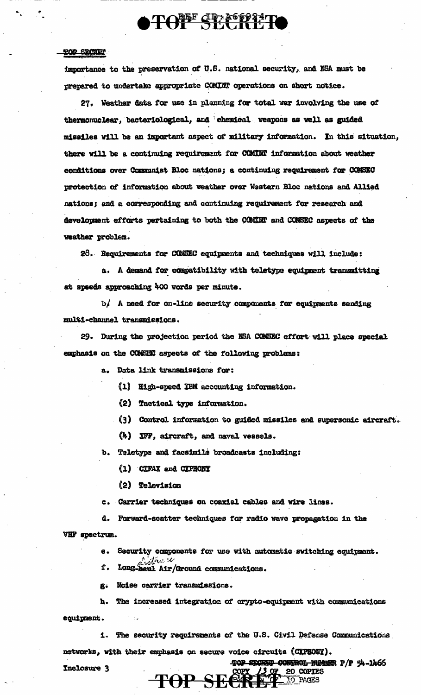## **TONE CRASSPRATE**

### **TOD SECTION**

importance to the preservation of U.S. national security, and NSA must be prepared to undertake appropriate COMINT operations on short notice.

27. Weather data for use in planning for total war involving the use of thermonuclear, bacteriological, and chemical weapons as well as guided missiles will be an important aspect of military information. In this situation, there will be a continuing requirement for COMINT information about weather conditions over Communist Bloc nations; a continuing requirement for COMSEC protection of information about weather over Western Bloc nations and Allied nations; and a corresponding and continuing requirement for research and development efforts pertaining to both the COMINT and COMSEC aspects of the weather problem.

28. Requirements for COMSEC equipments and techniques will include:

a. A demand for compatibility with teletype equipment transmitting at speeds approaching 400 words per minute.

b/ A need for on-line security components for equipments sending multi-channel transmissions.

29. During the projection period the NSA COMSEC effort will place special emphasis on the COMETEN aspects of the following problems:

a. Data link transmissions for:

- (1) High-speed IBM accounting information.
- (2) Tactical type information.
- (3) Control information to guided missiles and supersonic aircraft.
- (4) IFF, aircraft, and naval vessels.

b. Teletype and facsimile broadcasts including:

- (1) CIFAX and CIPHONY
- (2) Television
- c. Carrier techniques on coaxial cables and wire lines.
- d. Forward-scatter techniques for radio wave propagation in the

VHF spectrum.

e. Security components for use with automatic switching equipment.

Long higher & Cround communications. f.

g. Noise carrier transmissions.

The increased integration of crypto-equipment with communications  $\mathbf{h}$ .

equipment.

i. The security requirements of the U.S. Civil Defense Communications

TOP SECRED CONTROL NUMBER P/P 54-1466

20 COPIES

networks, with their emphasis on secure voice circuits (CIPHONY).

Inclosure 3 TOP SECRE